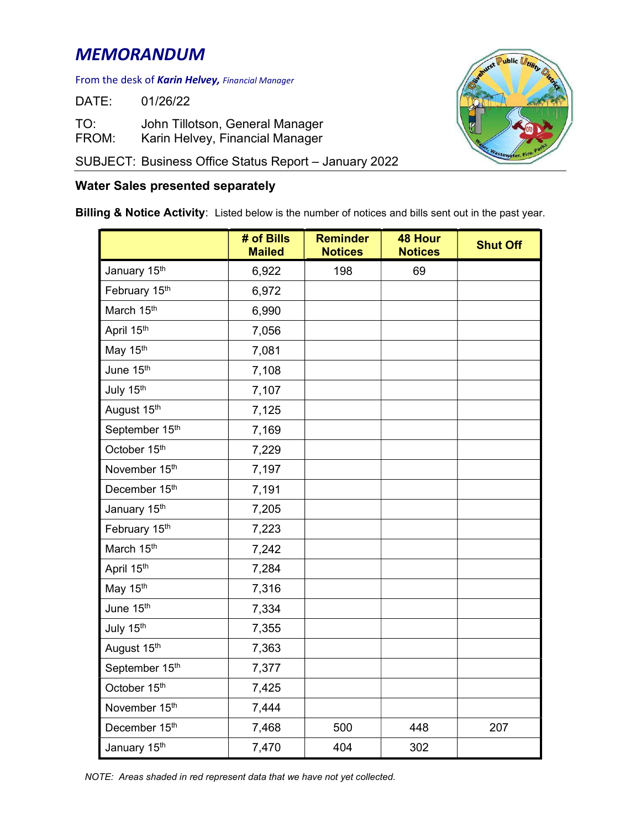## MEMORANDUM

## From the desk of **Karin Helvey,** Financial Manager

DATE: 01/26/22

TO: John Tillotson, General Manager FROM: Karin Helvey, Financial Manager

SUBJECT: Business Office Status Report – January 2022

## Water Sales presented separately

Billing & Notice Activity: Listed below is the number of notices and bills sent out in the past year.

|                | # of Bills<br><b>Mailed</b> | <b>Reminder</b><br><b>Notices</b> | <b>48 Hour</b><br><b>Notices</b> | <b>Shut Off</b> |
|----------------|-----------------------------|-----------------------------------|----------------------------------|-----------------|
| January 15th   | 6,922                       | 198                               | 69                               |                 |
| February 15th  | 6,972                       |                                   |                                  |                 |
| March 15th     | 6,990                       |                                   |                                  |                 |
| April 15th     | 7,056                       |                                   |                                  |                 |
| May 15th       | 7,081                       |                                   |                                  |                 |
| June 15th      | 7,108                       |                                   |                                  |                 |
| July 15th      | 7,107                       |                                   |                                  |                 |
| August 15th    | 7,125                       |                                   |                                  |                 |
| September 15th | 7,169                       |                                   |                                  |                 |
| October 15th   | 7,229                       |                                   |                                  |                 |
| November 15th  | 7,197                       |                                   |                                  |                 |
| December 15th  | 7,191                       |                                   |                                  |                 |
| January 15th   | 7,205                       |                                   |                                  |                 |
| February 15th  | 7,223                       |                                   |                                  |                 |
| March 15th     | 7,242                       |                                   |                                  |                 |
| April 15th     | 7,284                       |                                   |                                  |                 |
| May 15th       | 7,316                       |                                   |                                  |                 |
| June 15th      | 7,334                       |                                   |                                  |                 |
| July 15th      | 7,355                       |                                   |                                  |                 |
| August 15th    | 7,363                       |                                   |                                  |                 |
| September 15th | 7,377                       |                                   |                                  |                 |
| October 15th   | 7,425                       |                                   |                                  |                 |
| November 15th  | 7,444                       |                                   |                                  |                 |
| December 15th  | 7,468                       | 500                               | 448                              | 207             |
| January 15th   | 7,470                       | 404                               | 302                              |                 |

ublic *(L* 

NOTE: Areas shaded in red represent data that we have not yet collected.